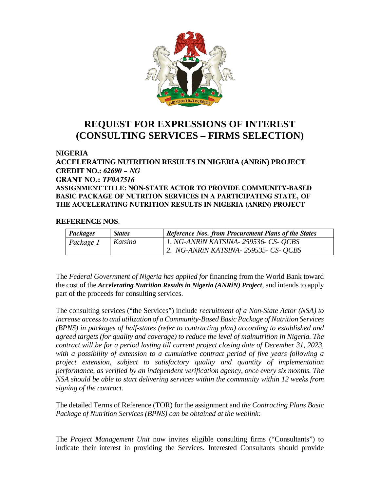

## **REQUEST FOR EXPRESSIONS OF INTEREST (CONSULTING SERVICES – FIRMS SELECTION)**

## **NIGERIA**

**ACCELERATING NUTRITION RESULTS IN NIGERIA (ANRiN) PROJECT CREDIT NO.:** *62690 – NG* **GRANT NO.:** *TF0A7516* **ASSIGNMENT TITLE: NON-STATE ACTOR TO PROVIDE COMMUNITY-BASED BASIC PACKAGE OF NUTRITON SERVICES IN A PARTICIPATING STATE, OF THE ACCELERATING NUTRITION RESULTS IN NIGERIA (ANRiN) PROJECT**

## **REFERENCE NOS**.

| <b>Packages</b> | <b>States</b> | <b>Reference Nos. from Procurement Plans of the States</b> |
|-----------------|---------------|------------------------------------------------------------|
| Package 1       | Katsina       | 1. NG-ANRIN KATSINA- 259536- CS- QCBS                      |
|                 |               | 2. NG-ANRIN KATSINA - 259535 - CS - OCBS                   |

The *Federal Government of Nigeria has applied for* financing from the World Bank toward the cost of the *Accelerating Nutrition Results in Nigeria (ANRiN) Project*, and intends to apply part of the proceeds for consulting services.

The consulting services ("the Services") include *recruitment of a Non-State Actor (NSA) to increase access to and utilization of a Community-Based Basic Package of Nutrition Services (BPNS) in packages of half-states (refer to contracting plan) according to established and agreed targets (for quality and coverage) to reduce the level of malnutrition in Nigeria. The contract will be for a period lasting till current project closing date of December 31, 2023, with a possibility of extension to a cumulative contract period of five years following a project extension, subject to satisfactory quality and quantity of implementation performance, as verified by an independent verification agency, once every six months. The NSA should be able to start delivering services within the community within 12 weeks from signing of the contract.*

The detailed Terms of Reference (TOR) for the assignment and *the Contracting Plans Basic Package of Nutrition Services (BPNS) can be obtained at the weblink:*

The *Project Management Unit* now invites eligible consulting firms ("Consultants") to indicate their interest in providing the Services. Interested Consultants should provide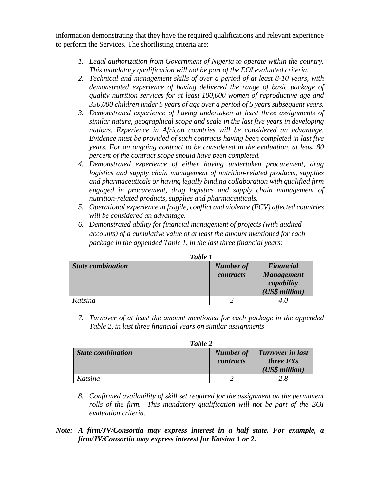information demonstrating that they have the required qualifications and relevant experience to perform the Services. The shortlisting criteria are:

- *1. Legal authorization from Government of Nigeria to operate within the country. This mandatory qualification will not be part of the EOI evaluated criteria.*
- *2. Technical and management skills of over a period of at least 8-10 years, with demonstrated experience of having delivered the range of basic package of quality nutrition services for at least 100,000 women of reproductive age and 350,000 children under 5 years of age over a period of 5 years subsequent years.*
- *3. Demonstrated experience of having undertaken at least three assignments of similar nature, geographical scope and scale in the last five years in developing nations. Experience in African countries will be considered an advantage. Evidence must be provided of such contracts having been completed in last five years. For an ongoing contract to be considered in the evaluation, at least 80 percent of the contract scope should have been completed.*
- *4. Demonstrated experience of either having undertaken procurement, drug logistics and supply chain management of nutrition-related products, supplies and pharmaceuticals or having legally binding collaboration with qualified firm engaged in procurement, drug logistics and supply chain management of nutrition-related products, supplies and pharmaceuticals.*
- *5. Operational experience in fragile, conflict and violence (FCV) affected countries will be considered an advantage.*
- *6. Demonstrated ability for financial management of projects (with audited accounts) of a cumulative value of at least the amount mentioned for each package in the appended Table 1, in the last three financial years:*

| <i>Lable 1</i>    |                               |                                                                       |  |
|-------------------|-------------------------------|-----------------------------------------------------------------------|--|
| State combination | <b>Number of</b><br>contracts | <b>Financial</b><br><b>Management</b><br>capability<br>(US\$ million) |  |
| Katsina           |                               |                                                                       |  |

*Table 1*

*7. Turnover of at least the amount mentioned for each package in the appended Table 2, in last three financial years on similar assignments*

| Table 2                  |           |                         |  |  |
|--------------------------|-----------|-------------------------|--|--|
| <b>State combination</b> | Number of | <b>Turnover in last</b> |  |  |
|                          | contracts | <i>three FYs</i>        |  |  |
|                          |           | (US\$ million)          |  |  |
| Katsina                  |           | 28                      |  |  |

- *8. Confirmed availability of skill set required for the assignment on the permanent rolls of the firm. This mandatory qualification will not be part of the EOI evaluation criteria.*
- *Note: A firm/JV/Consortia may express interest in a half state. For example, a firm/JV/Consortia may express interest for Katsina 1 or 2.*